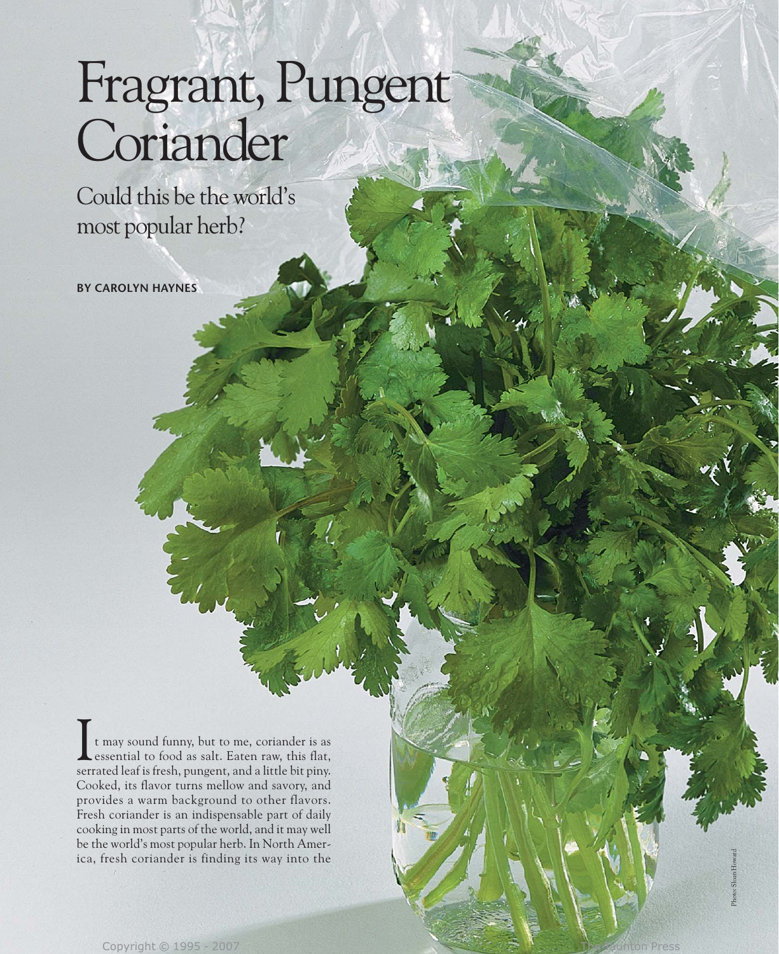# Fragrant, Pungent Coriander

Could this be the world's most popular herb?

**BY CAROLYN HAYNES**

t may sound funny, but to me, coriander is as essential to food as salt. Eaten raw, this flat, serrated leaf is fresh, pungent, and a little bit piny. Cooked, its flavor turns mellow and savory, and provides a warm background to other flavors. Fresh coriander is an indispensable part of daily cooking in most parts of the world, and it may well be the world's most popular herb. In North America, fresh coriander is finding its way into the I

Photo: Sloan Howard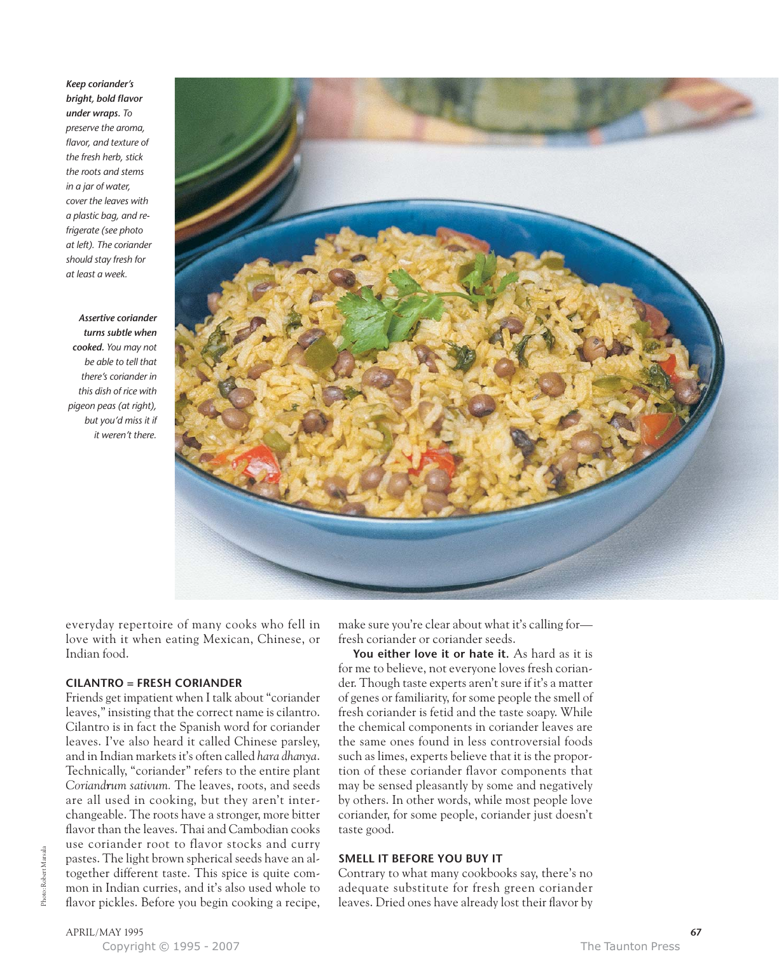*Keep coriander's bright, bold flavor under wraps. To preserve the aroma, flavor, and texture of the fresh herb, stick the roots and stems in a jar of water, cover the leaves with a plastic bag, and refrigerate (see photo at left). The coriander should stay fresh for at least a week.*

*Assertive coriander turns subtle when cooked. You may not be able to tell that there's coriander in this dish of rice with pigeon peas (at right), but you'd miss it if it weren't there.*



everyday repertoire of many cooks who fell in love with it when eating Mexican, Chinese, or Indian food.

#### **CILANTRO = FRESH CORIANDER**

Friends get impatient when I talk about "coriander leaves," insisting that the correct name is cilantro. Cilantro is in fact the Spanish word for coriander leaves. I've also heard it called Chinese parsley, and in Indian markets it's often called *hara dhanya*. Technically, "coriander" refers to the entire plant *Coriandrum sativum.* The leaves, roots, and seeds are all used in cooking, but they aren't interchangeable. The roots have a stronger, more bitter flavor than the leaves. Thai and Cambodian cooks use coriander root to flavor stocks and curry pastes. The light brown spherical seeds have an altogether different taste. This spice is quite common in Indian curries, and it's also used whole to flavor pickles. Before you begin cooking a recipe, make sure you're clear about what it's calling for fresh coriander or coriander seeds.

You either love it or hate it. As hard as it is for me to believe, not everyone loves fresh coriander. Though taste experts aren't sure if it's a matter of genes or familiarity, for some people the smell of fresh coriander is fetid and the taste soapy. While the chemical components in coriander leaves are the same ones found in less controversial foods such as limes, experts believe that it is the proportion of these coriander flavor components that may be sensed pleasantly by some and negatively by others. In other words, while most people love coriander, for some people, coriander just doesn't taste good.

## **SMELL IT BEFORE YOU BUY IT**

Contrary to what many cookbooks say, there's no adequate substitute for fresh green coriander leaves. Dried ones have already lost their flavor by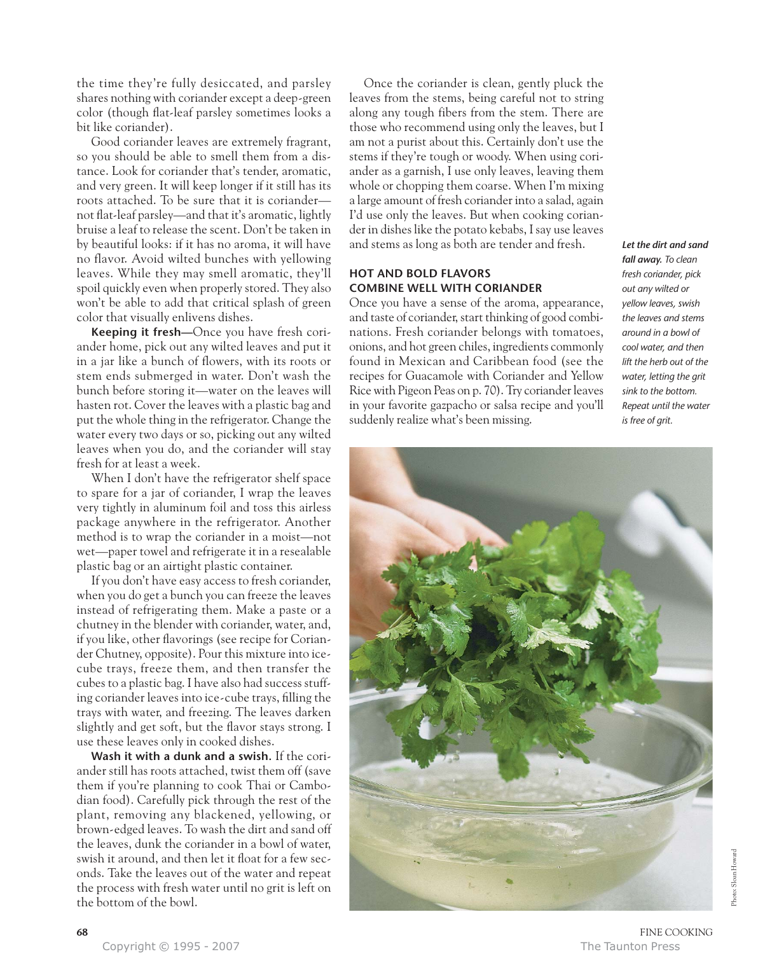the time they're fully desiccated, and parsley shares nothing with coriander except a deep-green color (though flat-leaf parsley sometimes looks a bit like coriander).

Good coriander leaves are extremely fragrant, so you should be able to smell them from a distance. Look for coriander that's tender, aromatic, and very green. It will keep longer if it still has its roots attached. To be sure that it is coriander not flat-leaf parsley—and that it's aromatic, lightly bruise a leaf to release the scent. Don't be taken in by beautiful looks: if it has no aroma, it will have no flavor. Avoid wilted bunches with yellowing leaves. While they may smell aromatic, they'll spoil quickly even when properly stored. They also won't be able to add that critical splash of green color that visually enlivens dishes.

**Keeping it fresh—**Once you have fresh coriander home, pick out any wilted leaves and put it in a jar like a bunch of flowers, with its roots or stem ends submerged in water. Don't wash the bunch before storing it—water on the leaves will hasten rot. Cover the leaves with a plastic bag and put the whole thing in the refrigerator. Change the water every two days or so, picking out any wilted leaves when you do, and the coriander will stay fresh for at least a week.

When I don't have the refrigerator shelf space to spare for a jar of coriander, I wrap the leaves very tightly in aluminum foil and toss this airless package anywhere in the refrigerator. Another method is to wrap the coriander in a moist—not wet—paper towel and refrigerate it in a resealable plastic bag or an airtight plastic container.

If you don't have easy access to fresh coriander, when you do get a bunch you can freeze the leaves instead of refrigerating them. Make a paste or a chutney in the blender with coriander, water, and, if you like, other flavorings (see recipe for Coriander Chutney, opposite). Pour this mixture into icecube trays, freeze them, and then transfer the cubes to a plastic bag. I have also had success stuffing coriander leaves into ice-cube trays, filling the trays with water, and freezing. The leaves darken slightly and get soft, but the flavor stays strong. I use these leaves only in cooked dishes.

**Wash it with a dunk and a swish.** If the coriander still has roots attached, twist them off (save them if you're planning to cook Thai or Cambodian food). Carefully pick through the rest of the plant, removing any blackened, yellowing, or brown-edged leaves. To wash the dirt and sand off the leaves, dunk the coriander in a bowl of water, swish it around, and then let it float for a few seconds. Take the leaves out of the water and repeat the process with fresh water until no grit is left on the bottom of the bowl.

Once the coriander is clean, gently pluck the leaves from the stems, being careful not to string along any tough fibers from the stem. There are those who recommend using only the leaves, but I am not a purist about this. Certainly don't use the stems if they're tough or woody. When using coriander as a garnish, I use only leaves, leaving them whole or chopping them coarse. When I'm mixing a large amount of fresh coriander into a salad, again I'd use only the leaves. But when cooking coriander in dishes like the potato kebabs, I say use leaves and stems as long as both are tender and fresh.

# **HOT AND BOLD FLAVORS COMBINE WELL WITH CORIANDER**

Once you have a sense of the aroma, appearance, and taste of coriander, start thinking of good combinations. Fresh coriander belongs with tomatoes, onions, and hot green chiles, ingredients commonly found in Mexican and Caribbean food (see the recipes for Guacamole with Coriander and Yellow Rice with Pigeon Peas on p. 70). Try coriander leaves in your favorite gazpacho or salsa recipe and you'll suddenly realize what's been missing.

*Let the dirt and sand fall away. To clean fresh coriander, pick out any wilted or yellow leaves, swish the leaves and stems around in a bowl of cool water, and then lift the herb out of the water, letting the grit sink to the bottom. Repeat until the water is free of grit.*

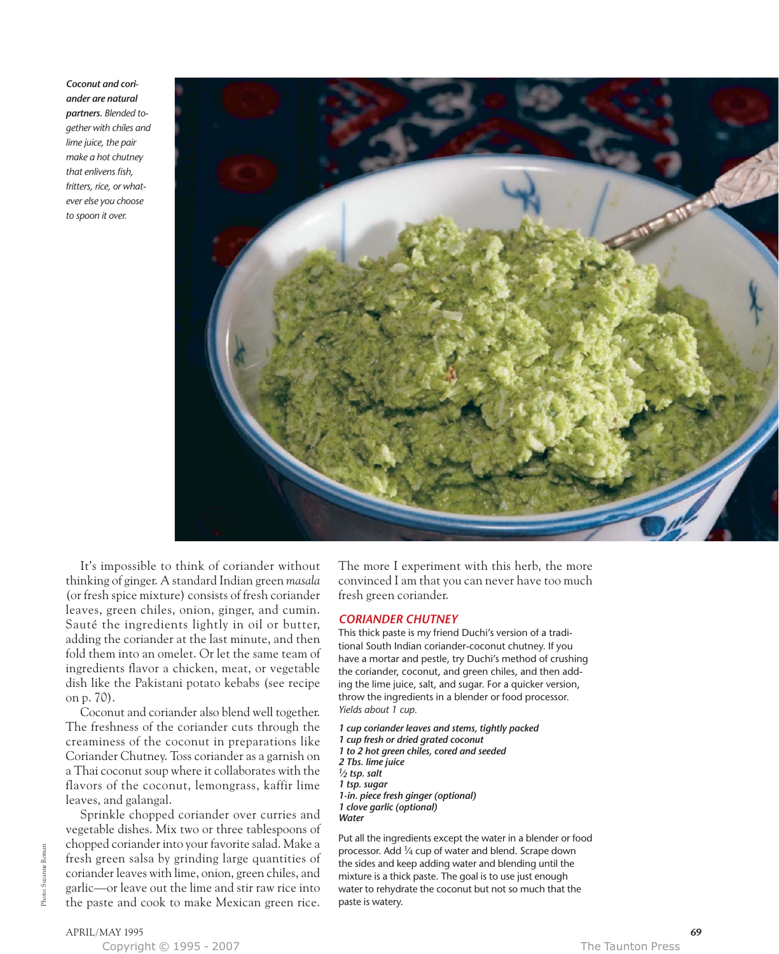*Coconut and coriander are natural partners. Blended together with chiles and lime juice, the pair make a hot chutney that enlivens fish, fritters, rice, or whatever else you choose to spoon it over.*



It's impossible to think of coriander without thinking of ginger. A standard Indian green *masala* (or fresh spice mixture) consists of fresh coriander leaves, green chiles, onion, ginger, and cumin. Sauté the ingredients lightly in oil or butter, adding the coriander at the last minute, and then fold them into an omelet. Or let the same team of ingredients flavor a chicken, meat, or vegetable dish like the Pakistani potato kebabs (see recipe on p. 70).

Coconut and coriander also blend well together. The freshness of the coriander cuts through the creaminess of the coconut in preparations like Coriander Chutney. Toss coriander as a garnish on a Thai coconut soup where it collaborates with the flavors of the coconut, lemongrass, kaffir lime leaves, and galangal.

Sprinkle chopped coriander over curries and vegetable dishes. Mix two or three tablespoons of chopped coriander into your favorite salad. Make a fresh green salsa by grinding large quantities of coriander leaves with lime, onion, green chiles, and garlic—or leave out the lime and stir raw rice into the paste and cook to make Mexican green rice.

The more I experiment with this herb, the more convinced I am that you can never have too much fresh green coriander.

#### *CORIANDER CHUTNEY*

This thick paste is my friend Duchi's version of a traditional South Indian coriander-coconut chutney. If you have a mortar and pestle, try Duchi's method of crushing the coriander, coconut, and green chiles, and then adding the lime juice, salt, and sugar. For a quicker version, throw the ingredients in a blender or food processor. *Yields about 1 cup.*

*1 cup coriander leaves and stems, tightly packed 1 cup fresh or dried grated coconut 1 to 2 hot green chiles, cored and seeded 2 Tbs. lime juice 1⁄2 tsp. salt 1 tsp. sugar 1-in. piece fresh ginger (optional) 1 clove garlic (optional) Water*

Put all the ingredients except the water in a blender or food processor. Add 1⁄4 cup of water and blend. Scrape down the sides and keep adding water and blending until the mixture is a thick paste. The goal is to use just enough water to rehydrate the coconut but not so much that the paste is watery.